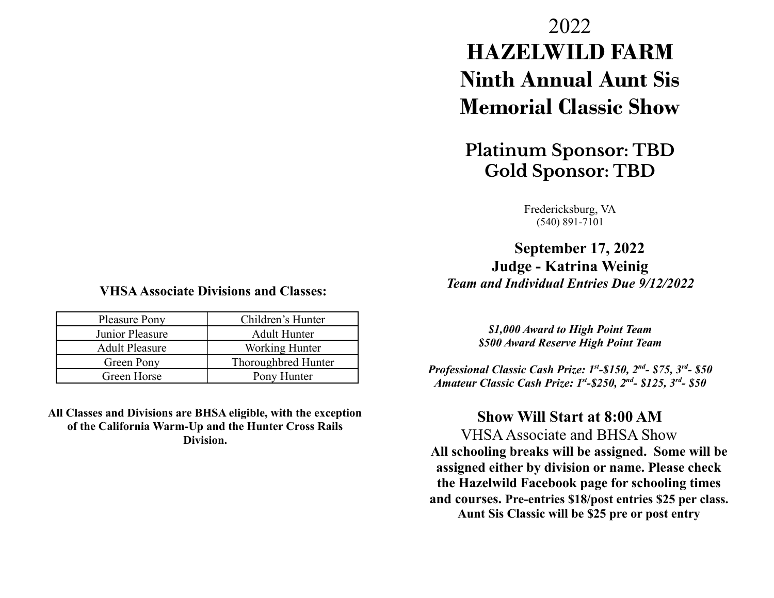## **VHSAAssociate Divisions and Classes:**

| <b>Pleasure Pony</b>  | Children's Hunter   |
|-----------------------|---------------------|
| Junior Pleasure       | <b>Adult Hunter</b> |
| <b>Adult Pleasure</b> | Working Hunter      |
| Green Pony            | Thoroughbred Hunter |
| Green Horse           | Pony Hunter         |

**All Classes and Divisions are BHSA eligible, with the exception of the California Warm-Up and the Hunter Cross Rails Division.**

# 2022 **HAZELWILD FARM Ninth Annual Aunt Sis Memorial Classic Show**

## **Platinum Sponsor: TBD Gold Sponsor: TBD**

Fredericksburg, VA (540) 891-7101

**September 17, 2022 Judge - Katrina Weinig** *Team and Individual Entries Due 9/12/2022*

> *\$1,000 Award to High Point Team \$500 Award Reserve High Point Team*

*Professional Classic Cash Prize: 1st -\$150, 2nd - \$75, 3 rd - \$50 Amateur Classic Cash Prize: 1st -\$250, 2nd - \$125, 3rd - \$50*

## **Show Will Start at 8:00 AM**

VHSAAssociate and BHSA Show **All schooling breaks will be assigned. Some will be assigned either by division or name. Please check the Hazelwild Facebook page for schooling times and courses. Pre-entries \$18/post entries \$25 per class. Aunt Sis Classic will be \$25 pre or post entry**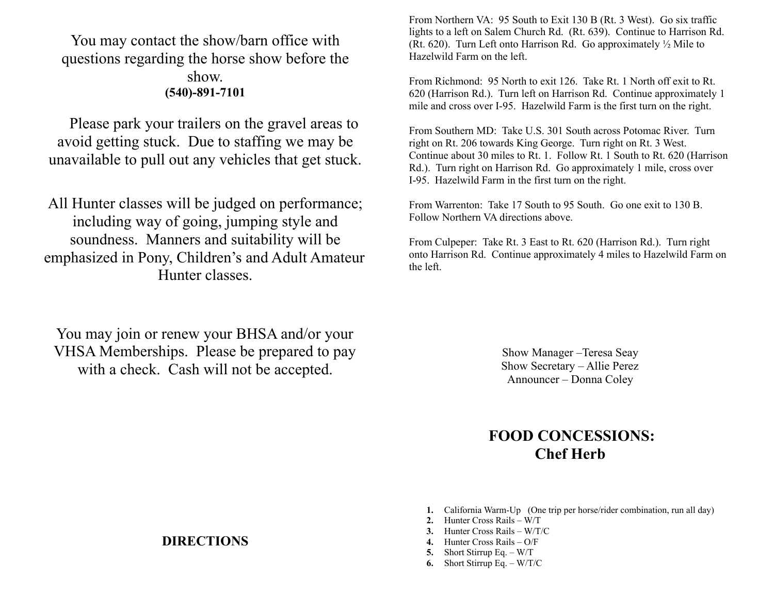## You may contact the show/barn office with questions regarding the horse show before the show. **(540)-891-7101**

Please park your trailers on the gravel areas to avoid getting stuck. Due to staffing we may be unavailable to pull out any vehicles that get stuck.

All Hunter classes will be judged on performance; including way of going, jumping style and soundness. Manners and suitability will be emphasized in Pony, Children's and Adult Amateur Hunter classes.

You may join or renew your BHSA and/or your VHSA Memberships. Please be prepared to pay with a check. Cash will not be accepted.

From Northern VA: 95 South to Exit 130 B (Rt. 3 West). Go six traffic lights to a left on Salem Church Rd. (Rt. 639). Continue to Harrison Rd. (Rt. 620). Turn Left onto Harrison Rd. Go approximately ½ Mile to Hazelwild Farm on the left.

From Richmond: 95 North to exit 126. Take Rt. 1 North off exit to Rt. 620 (Harrison Rd.). Turn left on Harrison Rd. Continue approximately 1 mile and cross over I-95. Hazelwild Farm is the first turn on the right.

From Southern MD: Take U.S. 301 South across Potomac River. Turn right on Rt. 206 towards King George. Turn right on Rt. 3 West. Continue about 30 miles to Rt. 1. Follow Rt. 1 South to Rt. 620 (Harrison Rd.). Turn right on Harrison Rd. Go approximately 1 mile, cross over I-95. Hazelwild Farm in the first turn on the right.

From Warrenton: Take 17 South to 95 South. Go one exit to 130 B. Follow Northern VA directions above.

From Culpeper: Take Rt. 3 East to Rt. 620 (Harrison Rd.). Turn right onto Harrison Rd. Continue approximately 4 miles to Hazelwild Farm on the left.

> Show Manager –Teresa Seay Show Secretary – Allie Perez Announcer – Donna Coley

## **FOOD CONCESSIONS: Chef Herb**

- **1.** California Warm-Up (One trip per horse/rider combination, run all day)
- **2.** Hunter Cross Rails W/T
- **3.** Hunter Cross Rails W/T/C
- **4.** Hunter Cross Rails O/F
- **5.** Short Stirrup Eq. W/T
- **6.** Short Stirrup Eq. W/T/C

### **DIRECTIONS**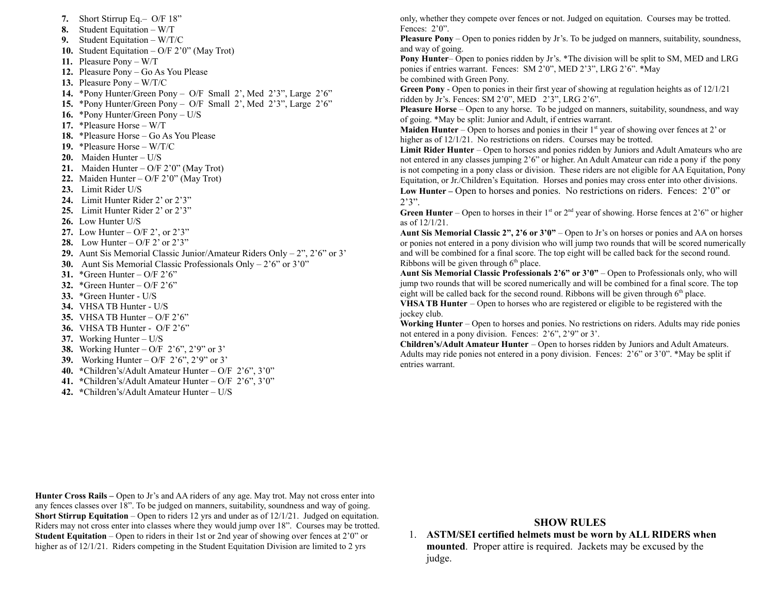**7.** Short Stirrup Eq.– O/F 18" **8.** Student Equitation – W/T **9.** Student Equitation – W/T/C **10.** Student Equitation – O/F 2'0" (May Trot) **11.** Pleasure Pony – W/T **12.** Pleasure Pony – Go As You Please **13.** Pleasure Pony – W/T/C **14.** \*Pony Hunter/Green Pony – O/F Small 2', Med 2'3", Large 2'6" **15.** \*Pony Hunter/Green Pony – O/F Small 2', Med 2'3", Large 2'6" **16.** \*Pony Hunter/Green Pony – U/S **17.** \*Pleasure Horse – W/T **18.** \*Pleasure Horse – Go As You Please **19.** \*Pleasure Horse – W/T/C **20.** Maiden Hunter – U/S **21.** Maiden Hunter – O/F 2'0" (May Trot) **22.** Maiden Hunter – O/F 2'0" (May Trot) **23.** Limit Rider U/S **24.** Limit Hunter Rider 2' or 2'3" **25.** Limit Hunter Rider 2' or 2'3" **26.** Low Hunter U/S **27.** Low Hunter – O/F 2', or 2'3" **28.** Low Hunter – O/F 2' or 2'3" **29.** Aunt Sis Memorial Classic Junior/Amateur Riders Only – 2", 2'6" or 3' **30.** Aunt Sis Memorial Classic Professionals Only – 2'6" or 3'0" **31.** \*Green Hunter – O/F 2'6" **32.** \*Green Hunter – O/F 2'6" **33.** \*Green Hunter - U/S **34.** VHSA TB Hunter - U/S **35.** VHSA TB Hunter – O/F 2'6" **36.** VHSA TB Hunter - O/F 2'6" **37.** Working Hunter – U/S **38.** Working Hunter – O/F 2'6", 2'9" or 3' **39.** Working Hunter – O/F 2'6", 2'9" or 3' **40. \***Children's/Adult Amateur Hunter – O/F 2'6", 3'0" **41. \***Children's/Adult Amateur Hunter – O/F 2'6", 3'0" **42. \***Children's/Adult Amateur Hunter – U/S

only, whether they compete over fences or not. Judged on equitation. Courses may be trotted. Fences: 2'0".

**Pleasure Pony** – Open to ponies ridden by Jr's. To be judged on manners, suitability, soundness, and way of going.

**Pony Hunter**– Open to ponies ridden by Jr's. \*The division will be split to SM, MED and LRG ponies if entries warrant. Fences: SM 2'0", MED 2'3", LRG 2'6". \*May be combined with Green Pony.

**Green Pony** - Open to ponies in their first year of showing at regulation heights as of 12/1/21 ridden by Jr's. Fences: SM 2'0", MED 2'3", LRG 2'6".

**Pleasure Horse** – Open to any horse. To be judged on manners, suitability, soundness, and way of going. \*May be split: Junior and Adult, if entries warrant.

**Maiden Hunter** – Open to horses and ponies in their 1<sup>st</sup> year of showing over fences at 2' or higher as of  $12/1/21$ . No restrictions on riders. Courses may be trotted.

**Limit Rider Hunter** – Open to horses and ponies ridden by Juniors and Adult Amateurs who are not entered in any classes jumping 2'6" or higher. An Adult Amateur can ride a pony if the pony is not competing in a pony class or division. These riders are not eligible for AA Equitation, Pony Equitation, or Jr./Children's Equitation. Horses and ponies may cross enter into other divisions. **Low Hunter –** Open to horses and ponies. No restrictions on riders. Fences: 2'0" or

 $2'3"$ . **Green Hunter** – Open to horses in their  $1<sup>st</sup>$  or  $2<sup>nd</sup>$  year of showing. Horse fences at  $2<sup>3</sup>$  or higher as of 12/1/21.

**Aunt Sis Memorial Classic 2", 2'6 or 3'0"** – Open to Jr's on horses or ponies and AA on horses or ponies not entered in a pony division who will jump two rounds that will be scored numerically and will be combined for a final score. The top eight will be called back for the second round. Ribbons will be given through  $6<sup>th</sup>$  place.

**Aunt Sis Memorial Classic Professionals 2'6" or 3'0"** – Open to Professionals only, who will jump two rounds that will be scored numerically and will be combined for a final score. The top eight will be called back for the second round. Ribbons will be given through  $6<sup>th</sup>$  place.

**VHSA TB Hunter** – Open to horses who are registered or eligible to be registered with the jockey club.

**Working Hunter** – Open to horses and ponies. No restrictions on riders. Adults may ride ponies not entered in a pony division. Fences: 2'6", 2'9" or 3'.

**Children's/Adult Amateur Hunter** – Open to horses ridden by Juniors and Adult Amateurs. Adults may ride ponies not entered in a pony division. Fences: 2'6" or 3'0". \*May be split if entries warrant.

**Hunter Cross Rails –** Open to Jr's and AA riders of any age. May trot. May not cross enter into any fences classes over 18". To be judged on manners, suitability, soundness and way of going. **Short Stirrup Equitation** – Open to riders 12 yrs and under as of  $12/1/21$ . Judged on equitation. Riders may not cross enter into classes where they would jump over 18". Courses may be trotted. **Student Equitation** – Open to riders in their 1st or 2nd year of showing over fences at 2'0" or higher as of  $12/1/21$ . Riders competing in the Student Equitation Division are limited to 2 yrs

#### **SHOW RULES**

1. **ASTM/SEI certified helmets must be worn by ALL RIDERS when mounted**. Proper attire is required. Jackets may be excused by the judge.